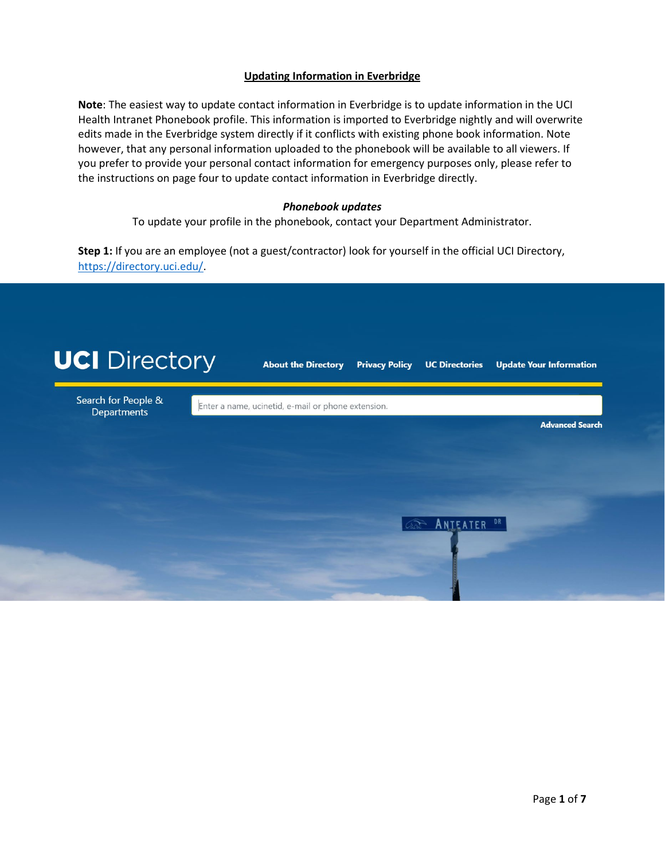## **Updating Information in Everbridge**

**Note**: The easiest way to update contact information in Everbridge is to update information in the UCI Health Intranet Phonebook profile. This information is imported to Everbridge nightly and will overwrite edits made in the Everbridge system directly if it conflicts with existing phone book information. Note however, that any personal information uploaded to the phonebook will be available to all viewers. If you prefer to provide your personal contact information for emergency purposes only, please refer to the instructions on page four to update contact information in Everbridge directly.

### *Phonebook updates*

To update your profile in the phonebook, contact your Department Administrator.

**Step 1:** If you are an employee (not a guest/contractor) look for yourself in the official UCI Directory, [https://directory.uci.edu/.](https://directory.uci.edu/index.php?form_type=basic_search)

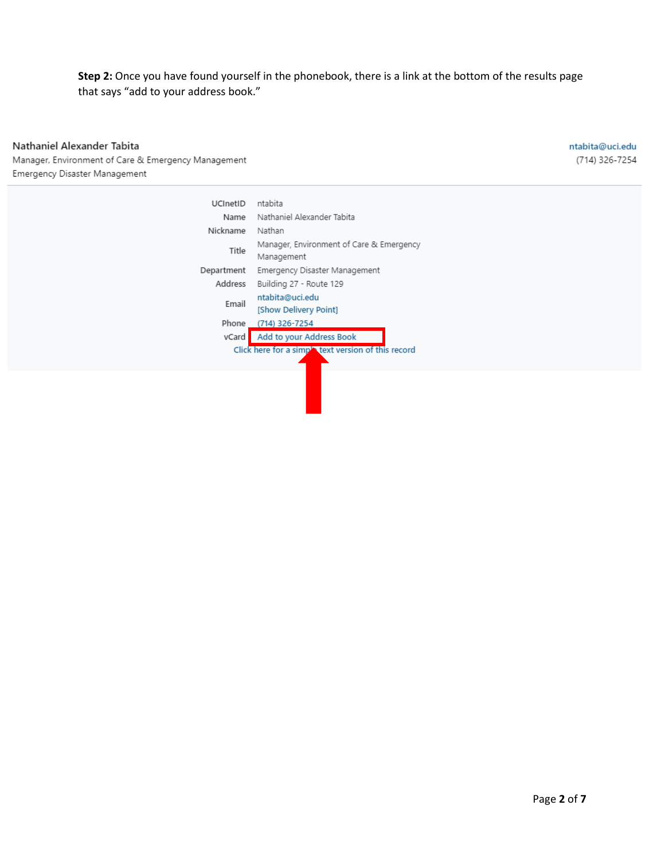## **Step 2:** Once you have found yourself in the phonebook, there is a link at the bottom of the results page that says "add to your address book."

# Nathaniel Alexander Tabita

ntabita@uci.edu (714) 326-7254

Manager, Environment of Care & Emergency Management Emergency Disaster Management

| UCInetID                                            | ntabita                                                |  |  |  |
|-----------------------------------------------------|--------------------------------------------------------|--|--|--|
| Name                                                | Nathaniel Alexander Tabita                             |  |  |  |
| Nickname                                            | Nathan                                                 |  |  |  |
| Title                                               | Manager, Environment of Care & Emergency<br>Management |  |  |  |
| Department                                          | Emergency Disaster Management                          |  |  |  |
| Address                                             | Building 27 - Route 129                                |  |  |  |
| Email                                               | ntabita@uci.edu<br>[Show Delivery Point]               |  |  |  |
| Phone                                               | (714) 326-7254                                         |  |  |  |
| vCard                                               | Add to your Address Book                               |  |  |  |
| Click here for a simple text version of this record |                                                        |  |  |  |
|                                                     |                                                        |  |  |  |
|                                                     |                                                        |  |  |  |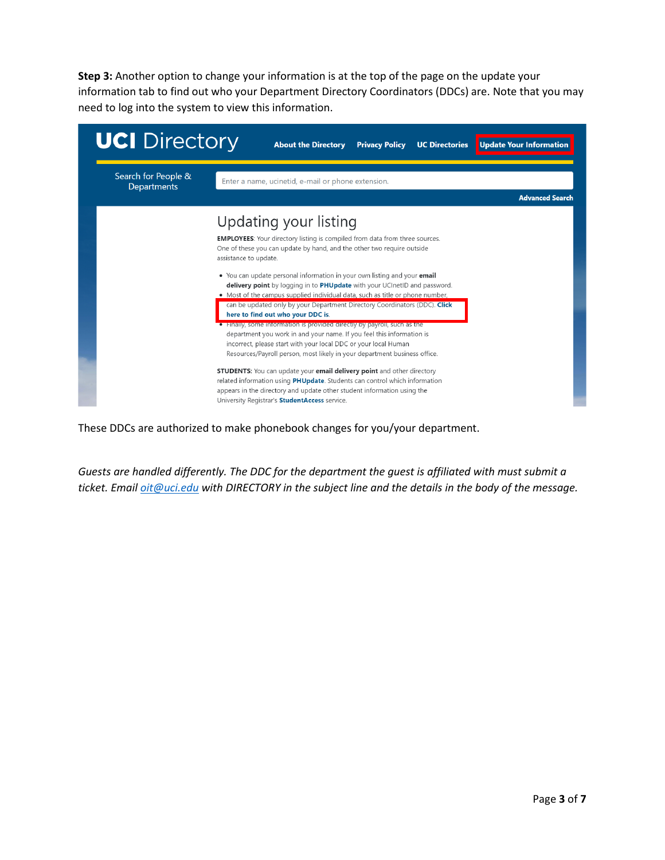**Step 3:** Another option to change your information is at the top of the page on the update your information tab to find out who your Department Directory Coordinators (DDCs) are. Note that you may need to log into the system to view this information.

| <b>UCI</b> Directory                      | Update Your Information<br><b>About the Directory</b><br><b>Privacy Policy</b><br><b>UC Directories</b>                                                                                                                                                                                 |  |  |  |  |
|-------------------------------------------|-----------------------------------------------------------------------------------------------------------------------------------------------------------------------------------------------------------------------------------------------------------------------------------------|--|--|--|--|
| Search for People &<br><b>Departments</b> | Enter a name, ucinetid, e-mail or phone extension.                                                                                                                                                                                                                                      |  |  |  |  |
|                                           | <b>Advanced Search</b>                                                                                                                                                                                                                                                                  |  |  |  |  |
|                                           | Updating your listing                                                                                                                                                                                                                                                                   |  |  |  |  |
|                                           | <b>EMPLOYEES:</b> Your directory listing is compiled from data from three sources.<br>One of these you can update by hand, and the other two require outside<br>assistance to update.                                                                                                   |  |  |  |  |
|                                           | • You can update personal information in your own listing and your email<br>delivery point by logging in to PHUpdate with your UCInetID and password.                                                                                                                                   |  |  |  |  |
|                                           | • Most of the campus supplied individual data, such as title or phone number.<br>can be updated only by your Department Directory Coordinators (DDC). Click<br>here to find out who your DDC is.                                                                                        |  |  |  |  |
|                                           | Finally, some information is provided directly by payroll, such as the<br>department you work in and your name. If you feel this information is<br>incorrect, please start with your local DDC or your local Human                                                                      |  |  |  |  |
|                                           | Resources/Payroll person, most likely in your department business office.                                                                                                                                                                                                               |  |  |  |  |
|                                           | <b>STUDENTS:</b> You can update your email delivery point and other directory<br>related information using PHUpdate. Students can control which information<br>appears in the directory and update other student information using the<br>University Registrar's StudentAccess service. |  |  |  |  |

These DDCs are authorized to make phonebook changes for you/your department.

*Guests are handled differently. The DDC for the department the guest is affiliated with must submit a ticket. Email [oit@uci.edu](mailto:oit@uci.edu) with DIRECTORY in the subject line and the details in the body of the message.*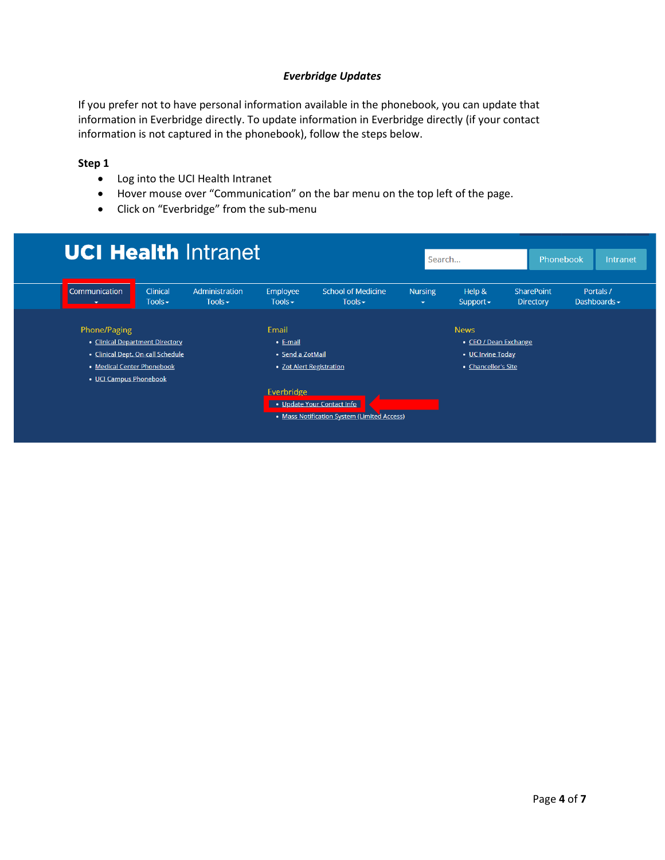### *Everbridge Updates*

If you prefer not to have personal information available in the phonebook, you can update that information in Everbridge directly. To update information in Everbridge directly (if your contact information is not captured in the phonebook), follow the steps below.

#### **Step 1**

- Log into the UCI Health Intranet
- Hover mouse over "Communication" on the bar menu on the top left of the page.
- Click on "Everbridge" from the sub-menu

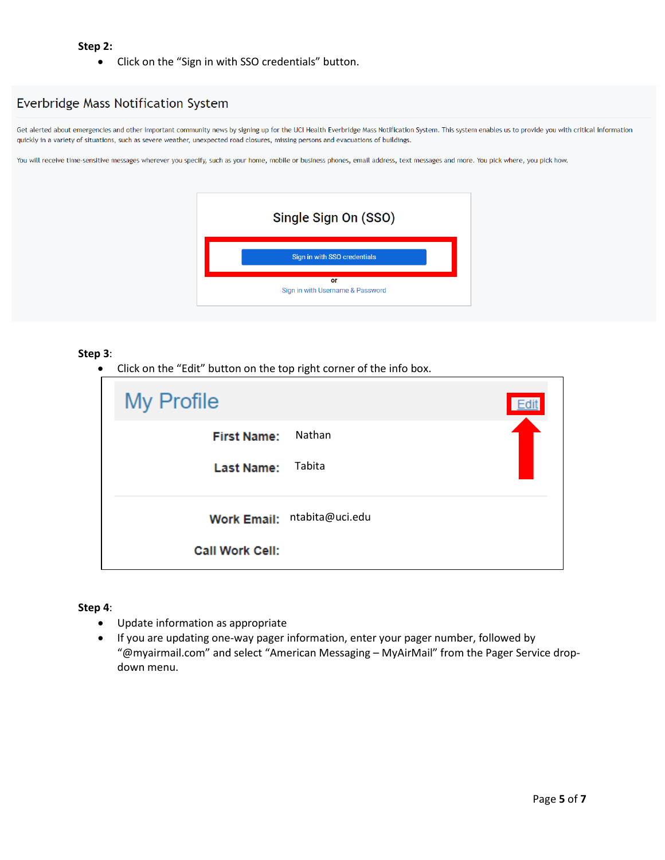#### **Step 2:**

• Click on the "Sign in with SSO credentials" button.

## Everbridge Mass Notification System

Get alerted about emergencies and other important community news by signing up for the UCI Health Everbridge Mass Notification System. This system enables us to provide you with critical information quickly in a variety of situations, such as severe weather, unexpected road closures, missing persons and evacuations of buildings.

You will receive time-sensitive messages wherever you specify, such as your home, mobile or business phones, email address, text messages and more. You pick where, you pick how.

|                                        | Single Sign On (SSO)         |  |  |  |  |
|----------------------------------------|------------------------------|--|--|--|--|
|                                        | Sign in with SSO credentials |  |  |  |  |
| or<br>Sign in with Username & Password |                              |  |  |  |  |

#### **Step 3**:

• Click on the "Edit" button on the top right corner of the info box.

| <b>My Profile</b>      |                             |
|------------------------|-----------------------------|
| <b>First Name:</b>     | Nathan                      |
| <b>Last Name:</b>      | Tabita                      |
|                        | Work Email: ntabita@uci.edu |
| <b>Call Work Cell:</b> |                             |

#### **Step 4**:

- Update information as appropriate
- If you are updating one-way pager information, enter your pager number, followed by "@myairmail.com" and select "American Messaging – MyAirMail" from the Pager Service dropdown menu.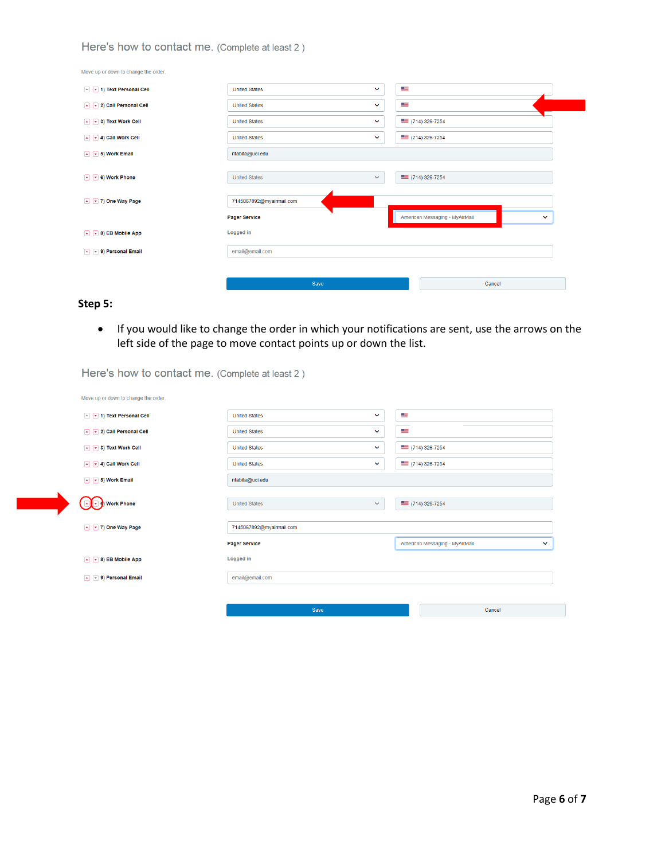### Here's how to contact me. (Complete at least 2)

| Move up or down to change the order.              |                          |              |     |                                                |  |  |
|---------------------------------------------------|--------------------------|--------------|-----|------------------------------------------------|--|--|
| 1 v 1) Text Personal Cell                         | <b>United States</b>     | $\checkmark$ | تتف |                                                |  |  |
| A V 2) Call Personal Cell                         | <b>United States</b>     | $\checkmark$ | a a |                                                |  |  |
| $\boxed{4}$ $\boxed{7}$ 3) Text Work Cell         | <b>United States</b>     | $\checkmark$ |     | $(714) 326 - 7254$                             |  |  |
| $\boxed{4}$ $\boxed{9}$ 4) Call Work Cell         | <b>United States</b>     | $\checkmark$ |     | $\equiv$ (714) 326-7254                        |  |  |
| $\boxed{\sim}$ $\boxed{\mathbf{v}}$ 5) Work Email | ntabita@uci.edu          |              |     |                                                |  |  |
|                                                   |                          |              |     |                                                |  |  |
| $\boxed{\cdot}$ $\boxed{\cdot}$ 6) Work Phone     | <b>United States</b>     | $\checkmark$ |     | $\equiv$ (714) 326-7254                        |  |  |
|                                                   |                          |              |     |                                                |  |  |
| 1 7) One Way Page                                 | 7145067892@myairmail.com |              |     |                                                |  |  |
|                                                   | <b>Pager Service</b>     |              |     | American Messaging - MyAirMail<br>$\checkmark$ |  |  |
| $\boxed{4}$ $\boxed{9}$ 8) EB Mobile App          | Logged in                |              |     |                                                |  |  |
| $\boxed{4}$ $\boxed{9}$ 9) Personal Email         | email@email.com          |              |     |                                                |  |  |
|                                                   |                          |              |     |                                                |  |  |
|                                                   | Save                     |              |     | Cancel                                         |  |  |

### **Step 5:**

• If you would like to change the order in which your notifications are sent, use the arrows on the left side of the page to move contact points up or down the list.

| Move up or down to change the order.                           |                          |              |                         |                                                |  |
|----------------------------------------------------------------|--------------------------|--------------|-------------------------|------------------------------------------------|--|
| A [v] 1) Text Personal Cell                                    | <b>United States</b>     | $\checkmark$ | a an                    |                                                |  |
| A v 2) Call Personal Cell                                      | <b>United States</b>     | $\checkmark$ | کر                      |                                                |  |
| $\boxed{\sim}$ $\boxed{\mathbf{v}}$ 3) Text Work Cell          | <b>United States</b>     | $\checkmark$ |                         | $\equiv$ (714) 326-7254                        |  |
| $\boxed{\sim}$ $\boxed{\mathbf{v}}$ 4) Call Work Cell          | <b>United States</b>     | $\checkmark$ |                         | $=$ (714) 326-7254                             |  |
| $\boxed{\rightarrow}$ $\boxed{\rightarrow}$ 5) Work Email      | ntabita@uci.edu          |              |                         |                                                |  |
| Work Phone                                                     | <b>United States</b>     | $\checkmark$ | $\equiv$ (714) 326-7254 |                                                |  |
| 7) One Way Page                                                | 7145067892@myairmail.com |              |                         |                                                |  |
|                                                                | <b>Pager Service</b>     |              |                         | American Messaging - MyAirMail<br>$\checkmark$ |  |
| $\boxed{\rightarrow}$ ( $\boxed{\rightarrow}$ 8) EB Mobile App | Logged in                |              |                         |                                                |  |
| $\boxed{\sim}$ ( $\boxed{\mathbf{v}}$ 9) Personal Email        | email@email.com          |              |                         |                                                |  |
|                                                                |                          |              |                         |                                                |  |
|                                                                | Save                     |              |                         | Cancel                                         |  |

Here's how to contact me. (Complete at least 2)